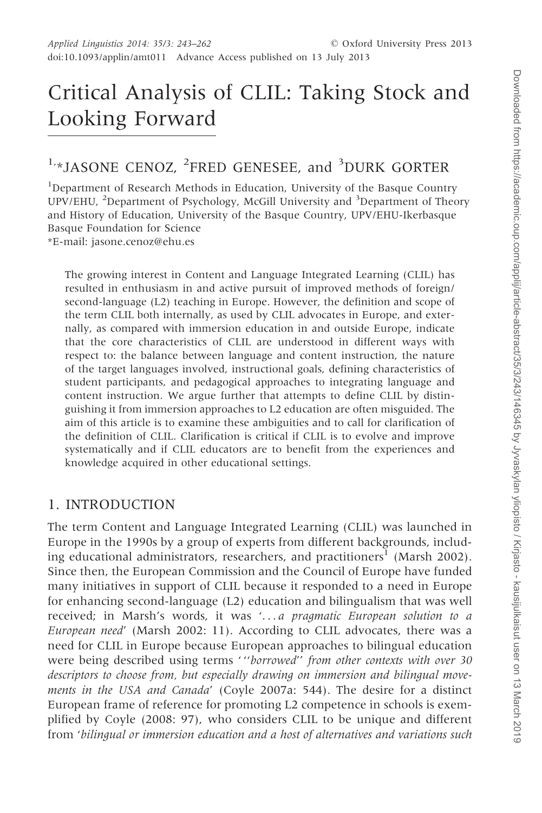# Critical Analysis of CLIL: Taking Stock and Looking Forward

# 1,\*JASONE CENOZ, <sup>2</sup>FRED GENESEE, and <sup>3</sup>DURK GORTER

<sup>1</sup>Department of Research Methods in Education, University of the Basque Country UPV/EHU, <sup>2</sup>Department of Psychology, McGill University and <sup>3</sup>Department of Theory and History of Education, University of the Basque Country, UPV/EHU-Ikerbasque Basque Foundation for Science

\*E-mail: jasone.cenoz@ehu.es

The growing interest in Content and Language Integrated Learning (CLIL) has resulted in enthusiasm in and active pursuit of improved methods of foreign/ second-language (L2) teaching in Europe. However, the definition and scope of the term CLIL both internally, as used by CLIL advocates in Europe, and externally, as compared with immersion education in and outside Europe, indicate that the core characteristics of CLIL are understood in different ways with respect to: the balance between language and content instruction, the nature of the target languages involved, instructional goals, defining characteristics of student participants, and pedagogical approaches to integrating language and content instruction. We argue further that attempts to define CLIL by distinguishing it from immersion approaches to L2 education are often misguided. The aim of this article is to examine these ambiguities and to call for clarification of the definition of CLIL. Clarification is critical if CLIL is to evolve and improve systematically and if CLIL educators are to benefit from the experiences and knowledge acquired in other educational settings.

#### 1. INTRODUCTION

The term Content and Language Integrated Learning (CLIL) was launched in Europe in the 1990s by a group of experts from different backgrounds, includ-ing educational administrators, researchers, and practitioners<sup>1</sup> [\(Marsh 2002\)](#page-18-0). Since then, the European Commission and the Council of Europe have funded many initiatives in support of CLIL because it responded to a need in Europe for enhancing second-language (L2) education and bilingualism that was well received; in Marsh's words, it was '... a pragmatic European solution to a European need' [\(Marsh 2002:](#page-18-0) 11). According to CLIL advocates, there was a need for CLIL in Europe because European approaches to bilingual education were being described using terms ""borrowed" from other contexts with over 30 descriptors to choose from, but especially drawing on immersion and bilingual movements in the USA and Canada' [\(Coyle 2007a](#page-17-0): 544). The desire for a distinct European frame of reference for promoting L2 competence in schools is exemplified by Coyle ([2008:](#page-17-0) 97), who considers CLIL to be unique and different from 'bilingual or immersion education and a host of alternatives and variations such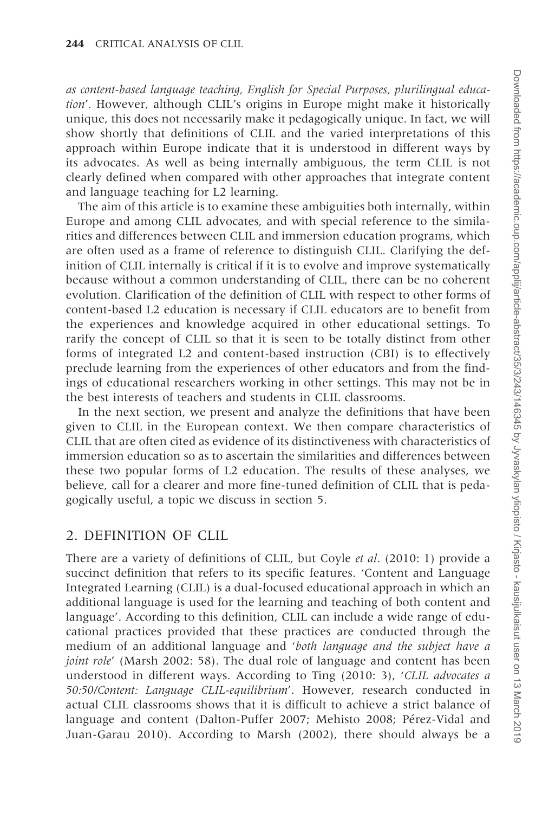as content-based language teaching, English for Special Purposes, plurilingual education'. However, although CLIL's origins in Europe might make it historically unique, this does not necessarily make it pedagogically unique. In fact, we will show shortly that definitions of CLIL and the varied interpretations of this approach within Europe indicate that it is understood in different ways by its advocates. As well as being internally ambiguous, the term CLIL is not clearly defined when compared with other approaches that integrate content and language teaching for L2 learning.

The aim of this article is to examine these ambiguities both internally, within Europe and among CLIL advocates, and with special reference to the similarities and differences between CLIL and immersion education programs, which are often used as a frame of reference to distinguish CLIL. Clarifying the definition of CLIL internally is critical if it is to evolve and improve systematically because without a common understanding of CLIL, there can be no coherent evolution. Clarification of the definition of CLIL with respect to other forms of content-based L2 education is necessary if CLIL educators are to benefit from the experiences and knowledge acquired in other educational settings. To rarify the concept of CLIL so that it is seen to be totally distinct from other forms of integrated L2 and content-based instruction (CBI) is to effectively preclude learning from the experiences of other educators and from the findings of educational researchers working in other settings. This may not be in the best interests of teachers and students in CLIL classrooms.

In the next section, we present and analyze the definitions that have been given to CLIL in the European context. We then compare characteristics of CLIL that are often cited as evidence of its distinctiveness with characteristics of immersion education so as to ascertain the similarities and differences between these two popular forms of L2 education. The results of these analyses, we believe, call for a clearer and more fine-tuned definition of CLIL that is pedagogically useful, a topic we discuss in section 5.

#### 2. DEFINITION OF CLIL

There are a variety of definitions of CLIL, but Coyle et al. ([2010:](#page-17-0) 1) provide a succinct definition that refers to its specific features. 'Content and Language Integrated Learning (CLIL) is a dual-focused educational approach in which an additional language is used for the learning and teaching of both content and language'. According to this definition, CLIL can include a wide range of educational practices provided that these practices are conducted through the medium of an additional language and 'both language and the subject have a joint role' [\(Marsh 2002:](#page-18-0) 58). The dual role of language and content has been understood in different ways. According to Ting [\(2010](#page-19-0): 3), 'CLIL advocates a 50:50/Content: Language CLIL-equilibrium'. However, research conducted in actual CLIL classrooms shows that it is difficult to achieve a strict balance of language and content ([Dalton-Puffer 2007](#page-17-0); [Mehisto 2008;](#page-18-0) Pérez-Vidal and [Juan-Garau 2010\)](#page-19-0). According to [Marsh \(2002\),](#page-18-0) there should always be a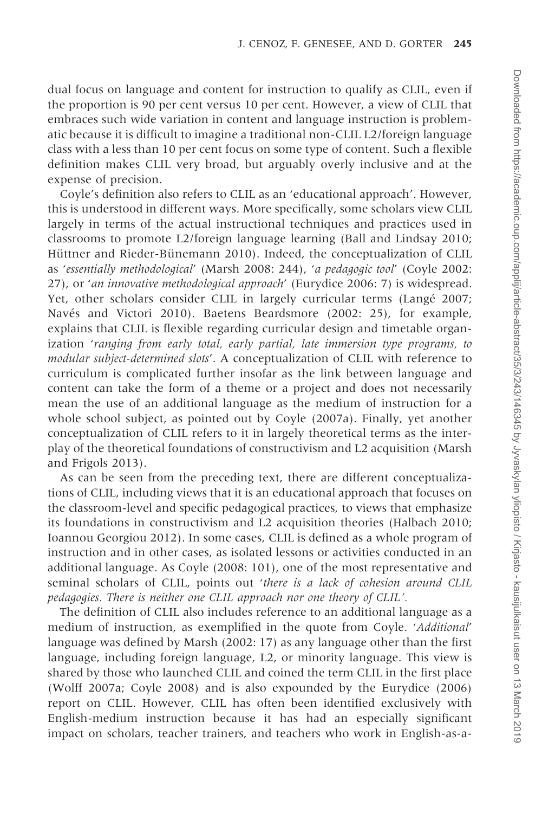dual focus on language and content for instruction to qualify as CLIL, even if the proportion is 90 per cent versus 10 per cent. However, a view of CLIL that embraces such wide variation in content and language instruction is problematic because it is difficult to imagine a traditional non-CLIL L2/foreign language class with a less than 10 per cent focus on some type of content. Such a flexible definition makes CLIL very broad, but arguably overly inclusive and at the expense of precision.

Coyle's definition also refers to CLIL as an 'educational approach'. However, this is understood in different ways. More specifically, some scholars view CLIL largely in terms of the actual instructional techniques and practices used in classrooms to promote L2/foreign language learning ([Ball and Lindsay 2010;](#page-16-0) Hüttner and Rieder-Bünemann 2010). Indeed, the conceptualization of CLIL as 'essentially methodological' ([Marsh 2008](#page-18-0): 244), 'a pedagogic tool' ([Coyle 2002:](#page-17-0) 27), or 'an innovative methodological approach' [\(Eurydice 2006](#page-17-0): 7) is widespread. Yet, other scholars consider CLIL in largely curricular terms [\(Lange´](#page-18-0) 2007; Navés and Victori 2010). Baetens Beardsmore ([2002:](#page-16-0) 25), for example, explains that CLIL is flexible regarding curricular design and timetable organization 'ranging from early total, early partial, late immersion type programs, to modular subject-determined slots'. A conceptualization of CLIL with reference to curriculum is complicated further insofar as the link between language and content can take the form of a theme or a project and does not necessarily mean the use of an additional language as the medium of instruction for a whole school subject, as pointed out by [Coyle \(2007a\).](#page-17-0) Finally, yet another conceptualization of CLIL refers to it in largely theoretical terms as the interplay of the theoretical foundations of constructivism and L2 acquisition [\(Marsh](#page-18-0) [and Frigols 2013](#page-18-0)).

As can be seen from the preceding text, there are different conceptualizations of CLIL, including views that it is an educational approach that focuses on the classroom-level and specific pedagogical practices, to views that emphasize its foundations in constructivism and L2 acquisition theories [\(Halbach 2010;](#page-17-0) [Ioannou Georgiou 2012\)](#page-18-0). In some cases, CLIL is defined as a whole program of instruction and in other cases, as isolated lessons or activities conducted in an additional language. As Coyle [\(2008](#page-17-0): 101), one of the most representative and seminal scholars of CLIL, points out 'there is a lack of cohesion around CLIL pedagogies. There is neither one CLIL approach nor one theory of CLIL'.

The definition of CLIL also includes reference to an additional language as a medium of instruction, as exemplified in the quote from Coyle. 'Additional' language was defined by Marsh [\(2002](#page-18-0): 17) as any language other than the first language, including foreign language, L2, or minority language. This view is shared by those who launched CLIL and coined the term CLIL in the first place ([Wolff 2007a](#page-19-0); [Coyle 2008\)](#page-17-0) and is also expounded by the [Eurydice \(2006\)](#page-17-0) report on CLIL. However, CLIL has often been identified exclusively with English-medium instruction because it has had an especially significant impact on scholars, teacher trainers, and teachers who work in English-as-a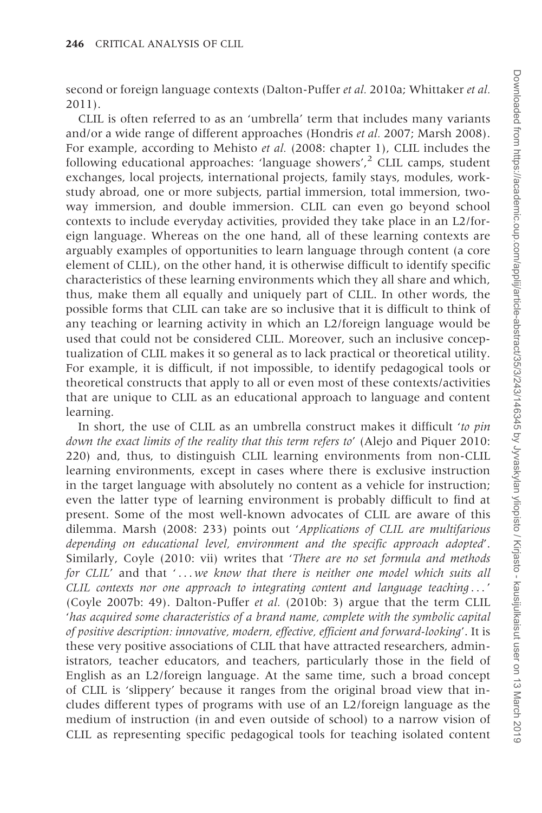second or foreign language contexts ([Dalton-Puffer](#page-17-0) et al. 2010a; [Whittaker](#page-19-0) et al. [2011\)](#page-19-0).

CLIL is often referred to as an 'umbrella' term that includes many variants and/or a wide range of different approaches ([Hondris](#page-18-0) et al. 2007; [Marsh 2008\)](#page-18-0). For example, according to Mehisto et al. [\(2008](#page-18-0): chapter 1), CLIL includes the following educational approaches: 'language showers',<sup>2</sup> CLIL camps, student exchanges, local projects, international projects, family stays, modules, workstudy abroad, one or more subjects, partial immersion, total immersion, twoway immersion, and double immersion. CLIL can even go beyond school contexts to include everyday activities, provided they take place in an L2/foreign language. Whereas on the one hand, all of these learning contexts are arguably examples of opportunities to learn language through content (a core element of CLIL), on the other hand, it is otherwise difficult to identify specific characteristics of these learning environments which they all share and which, thus, make them all equally and uniquely part of CLIL. In other words, the possible forms that CLIL can take are so inclusive that it is difficult to think of any teaching or learning activity in which an L2/foreign language would be used that could not be considered CLIL. Moreover, such an inclusive conceptualization of CLIL makes it so general as to lack practical or theoretical utility. For example, it is difficult, if not impossible, to identify pedagogical tools or theoretical constructs that apply to all or even most of these contexts/activities that are unique to CLIL as an educational approach to language and content learning.

In short, the use of CLIL as an umbrella construct makes it difficult *to pin* down the exact limits of the reality that this term refers to' [\(Alejo and Piquer 2010:](#page-16-0) 220) and, thus, to distinguish CLIL learning environments from non-CLIL learning environments, except in cases where there is exclusive instruction in the target language with absolutely no content as a vehicle for instruction; even the latter type of learning environment is probably difficult to find at present. Some of the most well-known advocates of CLIL are aware of this dilemma. Marsh [\(2008](#page-18-0): 233) points out 'Applications of CLIL are multifarious depending on educational level, environment and the specific approach adopted'. Similarly, Coyle [\(2010](#page-17-0): vii) writes that 'There are no set formula and methods for CLIL' and that '... we know that there is neither one model which suits all CLIL contexts nor one approach to integrating content and language teaching ... ' ([Coyle 2007b:](#page-17-0) 49). Dalton-Puffer et al. ([2010b](#page-17-0): 3) argue that the term CLIL 'has acquired some characteristics of a brand name, complete with the symbolic capital of positive description: innovative, modern, effective, efficient and forward-looking'. It is these very positive associations of CLIL that have attracted researchers, administrators, teacher educators, and teachers, particularly those in the field of English as an L2/foreign language. At the same time, such a broad concept of CLIL is 'slippery' because it ranges from the original broad view that includes different types of programs with use of an L2/foreign language as the medium of instruction (in and even outside of school) to a narrow vision of CLIL as representing specific pedagogical tools for teaching isolated content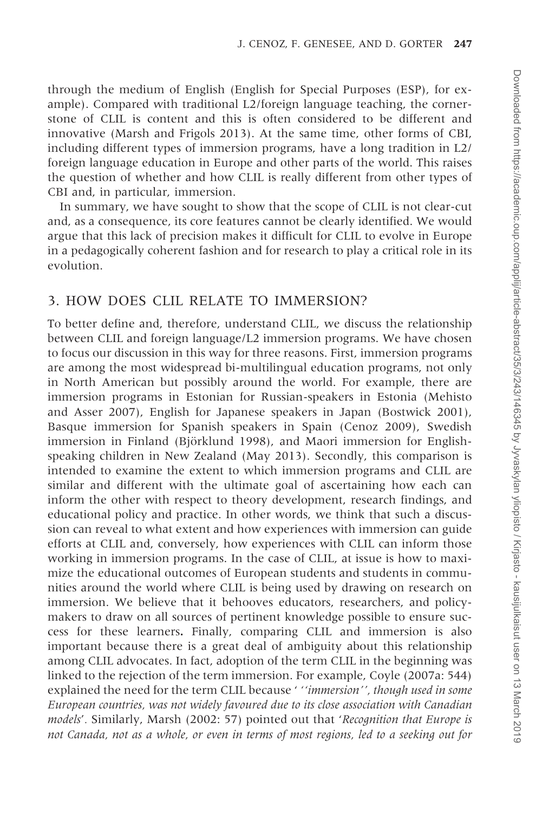through the medium of English (English for Special Purposes (ESP), for example). Compared with traditional L2/foreign language teaching, the cornerstone of CLIL is content and this is often considered to be different and innovative ([Marsh and Frigols 2013](#page-18-0)). At the same time, other forms of CBI, including different types of immersion programs, have a long tradition in L2/ foreign language education in Europe and other parts of the world. This raises the question of whether and how CLIL is really different from other types of CBI and, in particular, immersion.

In summary, we have sought to show that the scope of CLIL is not clear-cut and, as a consequence, its core features cannot be clearly identified. We would argue that this lack of precision makes it difficult for CLIL to evolve in Europe in a pedagogically coherent fashion and for research to play a critical role in its evolution.

#### 3. HOW DOES CLIL RELATE TO IMMERSION?

To better define and, therefore, understand CLIL, we discuss the relationship between CLIL and foreign language/L2 immersion programs. We have chosen to focus our discussion in this way for three reasons. First, immersion programs are among the most widespread bi-multilingual education programs, not only in North American but possibly around the world. For example, there are immersion programs in Estonian for Russian-speakers in Estonia ([Mehisto](#page-18-0) [and Asser 2007\)](#page-18-0), English for Japanese speakers in Japan ([Bostwick 2001\)](#page-16-0), Basque immersion for Spanish speakers in Spain ([Cenoz 2009](#page-17-0)), Swedish immersion in Finland (Björklund 1998), and Maori immersion for Englishspeaking children in New Zealand [\(May 2013\)](#page-18-0). Secondly, this comparison is intended to examine the extent to which immersion programs and CLIL are similar and different with the ultimate goal of ascertaining how each can inform the other with respect to theory development, research findings, and educational policy and practice. In other words, we think that such a discussion can reveal to what extent and how experiences with immersion can guide efforts at CLIL and, conversely, how experiences with CLIL can inform those working in immersion programs. In the case of CLIL, at issue is how to maximize the educational outcomes of European students and students in communities around the world where CLIL is being used by drawing on research on immersion. We believe that it behooves educators, researchers, and policymakers to draw on all sources of pertinent knowledge possible to ensure success for these learners. Finally, comparing CLIL and immersion is also important because there is a great deal of ambiguity about this relationship among CLIL advocates. In fact, adoption of the term CLIL in the beginning was linked to the rejection of the term immersion. For example, Coyle [\(2007a](#page-17-0): 544) explained the need for the term CLIL because ' ''immersion'', though used in some European countries, was not widely favoured due to its close association with Canadian models'. Similarly, Marsh [\(2002](#page-18-0): 57) pointed out that 'Recognition that Europe is not Canada, not as a whole, or even in terms of most regions, led to a seeking out for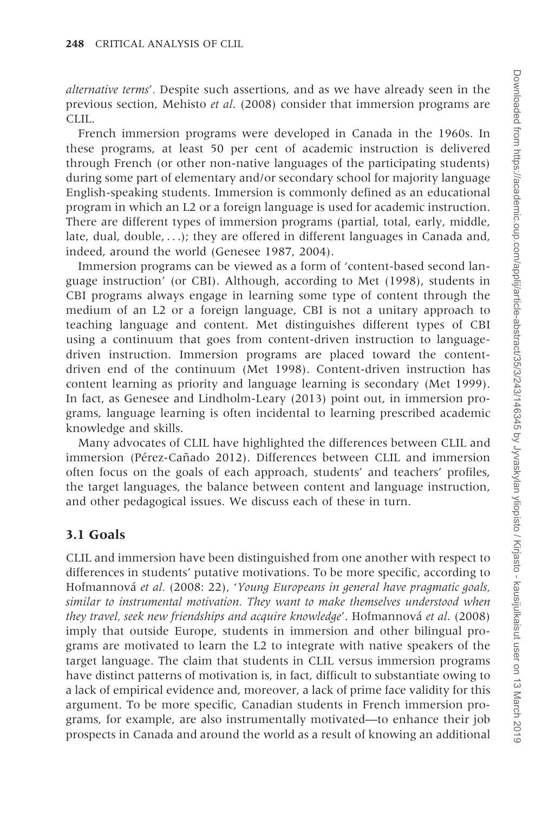alternative terms'. Despite such assertions, and as we have already seen in the previous section, [Mehisto](#page-18-0) et al[. \(2008\)](#page-18-0) consider that immersion programs are CLIL.

French immersion programs were developed in Canada in the 1960s. In these programs, at least 50 per cent of academic instruction is delivered through French (or other non-native languages of the participating students) during some part of elementary and/or secondary school for majority language English-speaking students. Immersion is commonly defined as an educational program in which an L2 or a foreign language is used for academic instruction. There are different types of immersion programs (partial, total, early, middle, late, dual, double, ...); they are offered in different languages in Canada and, indeed, around the world ([Genesee 1987](#page-17-0), [2004](#page-17-0)).

Immersion programs can be viewed as a form of 'content-based second language instruction' (or CBI). Although, according to [Met \(1998\),](#page-18-0) students in CBI programs always engage in learning some type of content through the medium of an L2 or a foreign language, CBI is not a unitary approach to teaching language and content. Met distinguishes different types of CBI using a continuum that goes from content-driven instruction to languagedriven instruction. Immersion programs are placed toward the contentdriven end of the continuum [\(Met 1998](#page-18-0)). Content-driven instruction has content learning as priority and language learning is secondary [\(Met 1999\)](#page-18-0). In fact, as [Genesee and Lindholm-Leary \(2013\)](#page-17-0) point out, in immersion programs, language learning is often incidental to learning prescribed academic knowledge and skills.

Many advocates of CLIL have highlighted the differences between CLIL and immersion (Pérez-Cañad[o 2012\)](#page-18-0). Differences between CLIL and immersion often focus on the goals of each approach, students' and teachers' profiles, the target languages, the balance between content and language instruction, and other pedagogical issues. We discuss each of these in turn.

#### 3.1 Goals

CLIL and immersion have been distinguished from one another with respect to differences in students' putative motivations. To be more specific, according to Hofmannová et al. ([2008:](#page-17-0) 22), 'Young Europeans in general have pragmatic goals, similar to instrumental motivation. They want to make themselves understood when they travel, seek new friendships and acquire knowledge'. Hofmannová et al. (2008) imply that outside Europe, students in immersion and other bilingual programs are motivated to learn the L2 to integrate with native speakers of the target language. The claim that students in CLIL versus immersion programs have distinct patterns of motivation is, in fact, difficult to substantiate owing to a lack of empirical evidence and, moreover, a lack of prime face validity for this argument. To be more specific, Canadian students in French immersion programs, for example, are also instrumentally motivated—to enhance their job prospects in Canada and around the world as a result of knowing an additional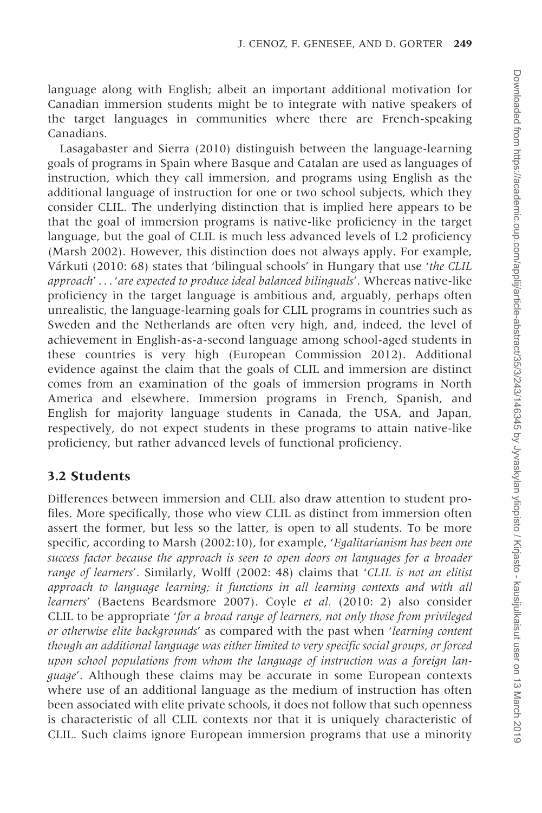language along with English; albeit an important additional motivation for Canadian immersion students might be to integrate with native speakers of the target languages in communities where there are French-speaking Canadians.

[Lasagabaster and Sierra \(2010\)](#page-18-0) distinguish between the language-learning goals of programs in Spain where Basque and Catalan are used as languages of instruction, which they call immersion, and programs using English as the additional language of instruction for one or two school subjects, which they consider CLIL. The underlying distinction that is implied here appears to be that the goal of immersion programs is native-like proficiency in the target language, but the goal of CLIL is much less advanced levels of L2 proficiency ([Marsh 2002](#page-18-0)). However, this distinction does not always apply. For example, Várkuti ([2010:](#page-19-0) 68) states that 'bilingual schools' in Hungary that use 'the CLIL approach' ... 'are expected to produce ideal balanced bilinguals'. Whereas native-like proficiency in the target language is ambitious and, arguably, perhaps often unrealistic, the language-learning goals for CLIL programs in countries such as Sweden and the Netherlands are often very high, and, indeed, the level of achievement in English-as-a-second language among school-aged students in these countries is very high [\(European Commission 2012](#page-17-0)). Additional evidence against the claim that the goals of CLIL and immersion are distinct comes from an examination of the goals of immersion programs in North America and elsewhere. Immersion programs in French, Spanish, and English for majority language students in Canada, the USA, and Japan, respectively, do not expect students in these programs to attain native-like proficiency, but rather advanced levels of functional proficiency.

#### 3.2 Students

Differences between immersion and CLIL also draw attention to student profiles. More specifically, those who view CLIL as distinct from immersion often assert the former, but less so the latter, is open to all students. To be more specific, according to Marsh ([2002:](#page-18-0)10), for example, 'Egalitarianism has been one success factor because the approach is seen to open doors on languages for a broader range of learners'. Similarly, Wolff [\(2002](#page-19-0): 48) claims that 'CLIL is not an elitist approach to language learning; it functions in all learning contexts and with all learners' [\(Baetens Beardsmore 2007](#page-16-0)). Coyle et al. [\(2010](#page-17-0): 2) also consider CLIL to be appropriate 'for a broad range of learners, not only those from privileged or otherwise elite backgrounds' as compared with the past when 'learning content though an additional language was either limited to very specific social groups, or forced upon school populations from whom the language of instruction was a foreign lan*guage'*. Although these claims may be accurate in some European contexts where use of an additional language as the medium of instruction has often been associated with elite private schools, it does not follow that such openness is characteristic of all CLIL contexts nor that it is uniquely characteristic of CLIL. Such claims ignore European immersion programs that use a minority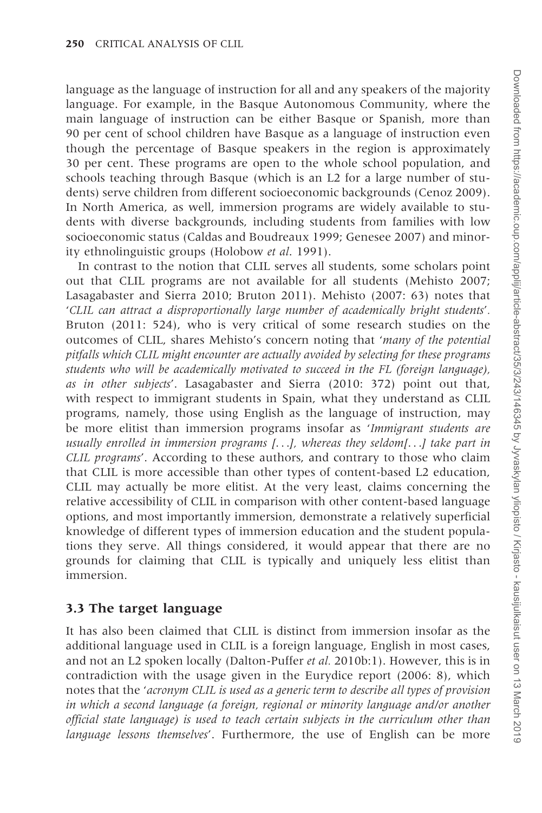language as the language of instruction for all and any speakers of the majority language. For example, in the Basque Autonomous Community, where the main language of instruction can be either Basque or Spanish, more than 90 per cent of school children have Basque as a language of instruction even though the percentage of Basque speakers in the region is approximately 30 per cent. These programs are open to the whole school population, and schools teaching through Basque (which is an L2 for a large number of students) serve children from different socioeconomic backgrounds ([Cenoz 2009\)](#page-17-0). In North America, as well, immersion programs are widely available to students with diverse backgrounds, including students from families with low socioeconomic status ([Caldas and Boudreaux 1999](#page-17-0); [Genesee 2007\)](#page-17-0) and minority ethnolinguistic groups [\(Holobow](#page-18-0) et al[. 1991](#page-18-0)).

In contrast to the notion that CLIL serves all students, some scholars point out that CLIL programs are not available for all students [\(Mehisto 2007;](#page-18-0) [Lasagabaster and Sierra 2010;](#page-18-0) [Bruton 2011\)](#page-17-0). Mehisto ([2007:](#page-18-0) 63) notes that 'CLIL can attract a disproportionally large number of academically bright students'. Bruton [\(2011](#page-17-0): 524), who is very critical of some research studies on the outcomes of CLIL, shares Mehisto's concern noting that 'many of the potential pitfalls which CLIL might encounter are actually avoided by selecting for these programs students who will be academically motivated to succeed in the FL (foreign language), as in other subjects'. Lasagabaster and Sierra ([2010:](#page-18-0) 372) point out that, with respect to immigrant students in Spain, what they understand as CLIL programs, namely, those using English as the language of instruction, may be more elitist than immersion programs insofar as 'Immigrant students are usually enrolled in immersion programs [...], whereas they seldom[...] take part in CLIL programs'. According to these authors, and contrary to those who claim that CLIL is more accessible than other types of content-based L2 education, CLIL may actually be more elitist. At the very least, claims concerning the relative accessibility of CLIL in comparison with other content-based language options, and most importantly immersion, demonstrate a relatively superficial knowledge of different types of immersion education and the student populations they serve. All things considered, it would appear that there are no grounds for claiming that CLIL is typically and uniquely less elitist than immersion.

## 3.3 The target language

It has also been claimed that CLIL is distinct from immersion insofar as the additional language used in CLIL is a foreign language, English in most cases, and not an L2 spoken locally ([Dalton-Puffer](#page-17-0) *et al.* 2010b:1). However, this is in contradiction with the usage given in the Eurydice report ([2006:](#page-17-0) 8), which notes that the 'acronym CLIL is used as a generic term to describe all types of provision in which a second language (a foreign, regional or minority language and/or another official state language) is used to teach certain subjects in the curriculum other than language lessons themselves'. Furthermore, the use of English can be more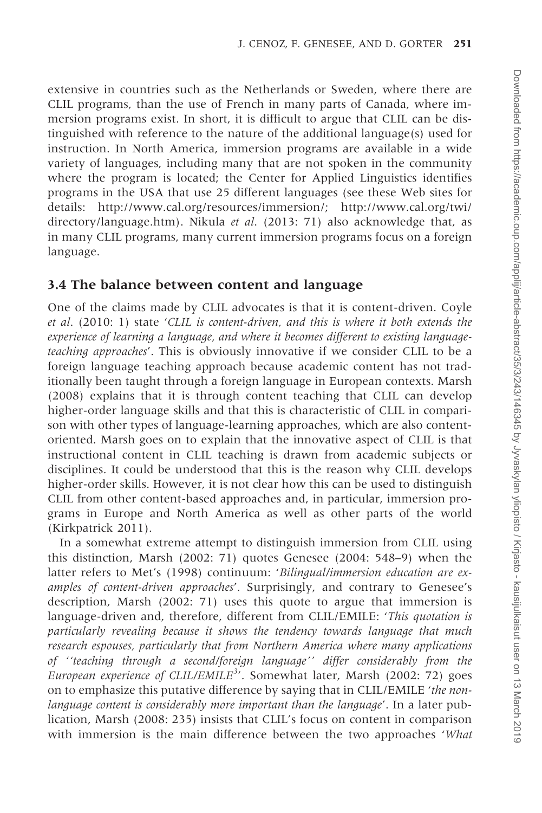extensive in countries such as the Netherlands or Sweden, where there are CLIL programs, than the use of French in many parts of Canada, where immersion programs exist. In short, it is difficult to argue that CLIL can be distinguished with reference to the nature of the additional language(s) used for instruction. In North America, immersion programs are available in a wide variety of languages, including many that are not spoken in the community where the program is located; the Center for Applied Linguistics identifies programs in the USA that use 25 different languages (see these Web sites for details: [http://www.cal.org/resources/immersion/; http://www.cal.org/twi/](http://www.cal.org/twi/directory/language.htm) [directory/language.htm](http://www.cal.org/twi/directory/language.htm)). Nikula et al. ([2013:](#page-18-0) 71) also acknowledge that, as in many CLIL programs, many current immersion programs focus on a foreign language.

#### 3.4 The balance between content and language

One of the claims made by CLIL advocates is that it is content-driven. Coyle et al. ([2010:](#page-17-0) 1) state 'CLIL is content-driven, and this is where it both extends the experience of learning a language, and where it becomes different to existing languageteaching approaches'. This is obviously innovative if we consider CLIL to be a foreign language teaching approach because academic content has not traditionally been taught through a foreign language in European contexts. [Marsh](#page-18-0) [\(2008\)](#page-18-0) explains that it is through content teaching that CLIL can develop higher-order language skills and that this is characteristic of CLIL in comparison with other types of language-learning approaches, which are also contentoriented. Marsh goes on to explain that the innovative aspect of CLIL is that instructional content in CLIL teaching is drawn from academic subjects or disciplines. It could be understood that this is the reason why CLIL develops higher-order skills. However, it is not clear how this can be used to distinguish CLIL from other content-based approaches and, in particular, immersion programs in Europe and North America as well as other parts of the world ([Kirkpatrick 2011\)](#page-18-0).

In a somewhat extreme attempt to distinguish immersion from CLIL using this distinction, Marsh ([2002:](#page-18-0) 71) quotes Genesee ([2004:](#page-17-0) 548–9) when the latter refers to [Met's \(1998\)](#page-18-0) continuum: 'Bilingual/immersion education are examples of content-driven approaches'. Surprisingly, and contrary to Genesee's description, Marsh ([2002:](#page-18-0) 71) uses this quote to argue that immersion is language-driven and, therefore, different from CLIL/EMILE: 'This quotation is particularly revealing because it shows the tendency towards language that much research espouses, particularly that from Northern America where many applications of ''teaching through a second/foreign language'' differ considerably from the European experience of CLIL/EMILE<sup>3</sup>'. Somewhat later, Marsh [\(2002](#page-18-0): 72) goes on to emphasize this putative difference by saying that in CLIL/EMILE 'the nonlanguage content is considerably more important than the language'. In a later publication, Marsh ([2008:](#page-18-0) 235) insists that CLIL's focus on content in comparison with immersion is the main difference between the two approaches *'What*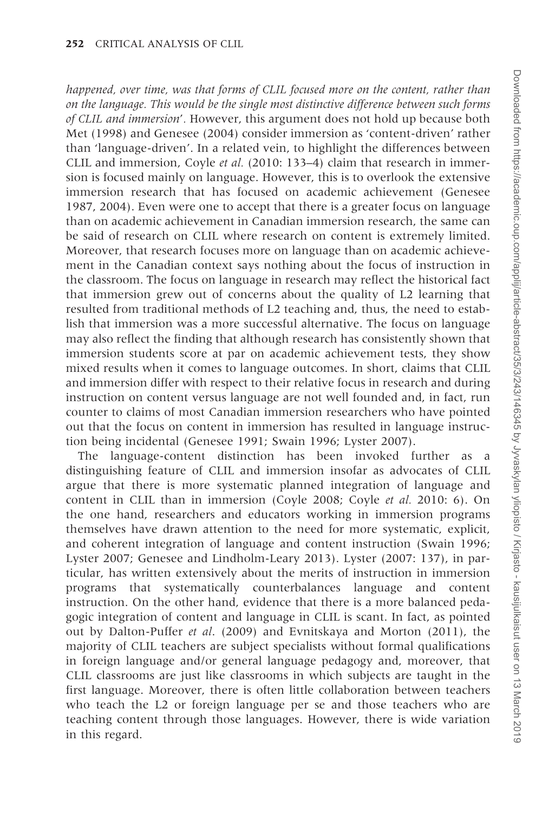happened, over time, was that forms of CLIL focused more on the content, rather than on the language. This would be the single most distinctive difference between such forms of CLIL and immersion'. However, this argument does not hold up because both [Met \(1998\)](#page-18-0) and [Genesee \(2004\)](#page-17-0) consider immersion as 'content-driven' rather than 'language-driven'. In a related vein, to highlight the differences between CLIL and immersion, Coyle et al. ([2010:](#page-17-0) 133–4) claim that research in immersion is focused mainly on language. However, this is to overlook the extensive immersion research that has focused on academic achievement [\(Genesee](#page-17-0) [1987, 2004](#page-17-0)). Even were one to accept that there is a greater focus on language than on academic achievement in Canadian immersion research, the same can be said of research on CLIL where research on content is extremely limited. Moreover, that research focuses more on language than on academic achievement in the Canadian context says nothing about the focus of instruction in the classroom. The focus on language in research may reflect the historical fact that immersion grew out of concerns about the quality of L2 learning that resulted from traditional methods of L2 teaching and, thus, the need to establish that immersion was a more successful alternative. The focus on language may also reflect the finding that although research has consistently shown that immersion students score at par on academic achievement tests, they show mixed results when it comes to language outcomes. In short, claims that CLIL and immersion differ with respect to their relative focus in research and during instruction on content versus language are not well founded and, in fact, run counter to claims of most Canadian immersion researchers who have pointed out that the focus on content in immersion has resulted in language instruction being incidental ([Genesee 1991;](#page-17-0) [Swain 1996;](#page-19-0) [Lyster 2007](#page-18-0)).

The language-content distinction has been invoked further as a distinguishing feature of CLIL and immersion insofar as advocates of CLIL argue that there is more systematic planned integration of language and content in CLIL than in immersion ([Coyle 2008; Coyle](#page-17-0) et al. 2010: 6). On the one hand, researchers and educators working in immersion programs themselves have drawn attention to the need for more systematic, explicit, and coherent integration of language and content instruction ([Swain 1996;](#page-19-0) [Lyster 2007](#page-18-0); [Genesee and Lindholm-Leary 2013](#page-17-0)). Lyster ([2007:](#page-18-0) 137), in particular, has written extensively about the merits of instruction in immersion programs that systematically counterbalances language and content instruction. On the other hand, evidence that there is a more balanced pedagogic integration of content and language in CLIL is scant. In fact, as pointed out by [Dalton-Puffer](#page-17-0) et al. (2009) and [Evnitskaya and Morton \(2011\),](#page-17-0) the majority of CLIL teachers are subject specialists without formal qualifications in foreign language and/or general language pedagogy and, moreover, that CLIL classrooms are just like classrooms in which subjects are taught in the first language. Moreover, there is often little collaboration between teachers who teach the L2 or foreign language per se and those teachers who are teaching content through those languages. However, there is wide variation in this regard.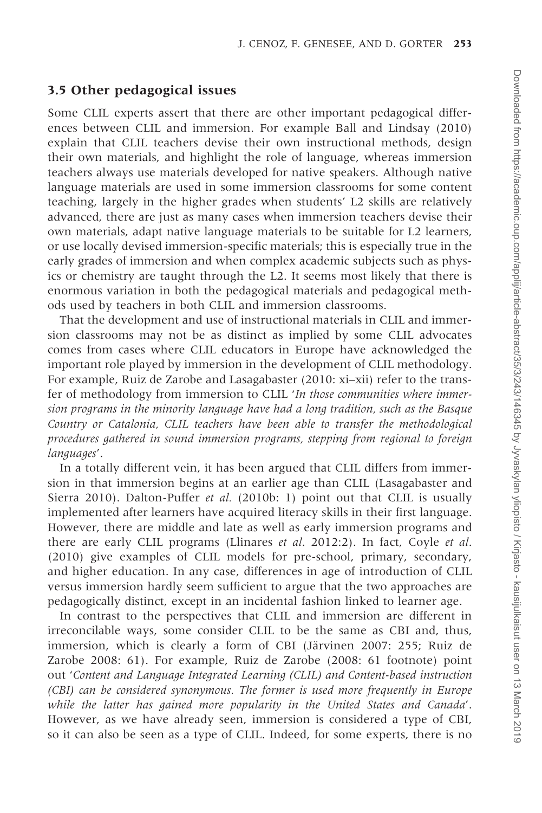#### 3.5 Other pedagogical issues

Some CLIL experts assert that there are other important pedagogical differences between CLIL and immersion. For example [Ball and Lindsay \(2010\)](#page-16-0) explain that CLIL teachers devise their own instructional methods, design their own materials, and highlight the role of language, whereas immersion teachers always use materials developed for native speakers. Although native language materials are used in some immersion classrooms for some content teaching, largely in the higher grades when students' L2 skills are relatively advanced, there are just as many cases when immersion teachers devise their own materials, adapt native language materials to be suitable for L2 learners, or use locally devised immersion-specific materials; this is especially true in the early grades of immersion and when complex academic subjects such as physics or chemistry are taught through the L2. It seems most likely that there is enormous variation in both the pedagogical materials and pedagogical methods used by teachers in both CLIL and immersion classrooms.

That the development and use of instructional materials in CLIL and immersion classrooms may not be as distinct as implied by some CLIL advocates comes from cases where CLIL educators in Europe have acknowledged the important role played by immersion in the development of CLIL methodology. For example, Ruiz de Zarobe and Lasagabaster [\(2010](#page-19-0): xi–xii) refer to the transfer of methodology from immersion to CLIL 'In those communities where immersion programs in the minority language have had a long tradition, such as the Basque Country or Catalonia, CLIL teachers have been able to transfer the methodological procedures gathered in sound immersion programs, stepping from regional to foreign languages'.

In a totally different vein, it has been argued that CLIL differs from immersion in that immersion begins at an earlier age than CLIL ([Lasagabaster and](#page-18-0) [Sierra 2010](#page-18-0)). Dalton-Puffer et al. ([2010b](#page-17-0): 1) point out that CLIL is usually implemented after learners have acquired literacy skills in their first language. However, there are middle and late as well as early immersion programs and there are early CLIL programs ([Llinares](#page-18-0) et al[. 2012](#page-18-0):2). In fact, [Coyle](#page-17-0) et al. [\(2010\)](#page-17-0) give examples of CLIL models for pre-school, primary, secondary, and higher education. In any case, differences in age of introduction of CLIL versus immersion hardly seem sufficient to argue that the two approaches are pedagogically distinct, except in an incidental fashion linked to learner age.

In contrast to the perspectives that CLIL and immersion are different in irreconcilable ways, some consider CLIL to be the same as CBI and, thus, immersion, which is clearly a form of CBI (Järvinen 2007: 255; [Ruiz de](#page-19-0) [Zarobe 2008:](#page-19-0) 61). For example, Ruiz de Zarobe ([2008:](#page-19-0) 61 footnote) point out 'Content and Language Integrated Learning (CLIL) and Content-based instruction (CBI) can be considered synonymous. The former is used more frequently in Europe while the latter has gained more popularity in the United States and Canada'. However, as we have already seen, immersion is considered a type of CBI, so it can also be seen as a type of CLIL. Indeed, for some experts, there is no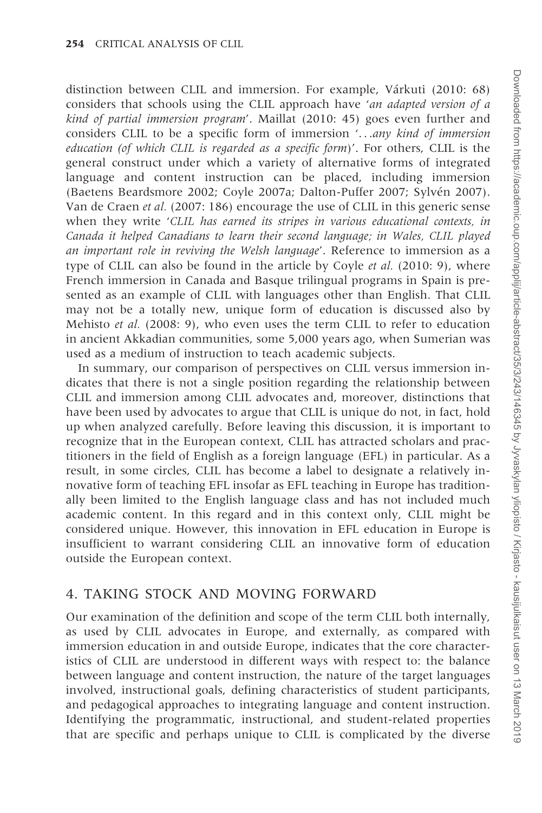distinction between CLIL and immersion. For example, Várkuti [\(2010](#page-19-0): 68) considers that schools using the CLIL approach have 'an adapted version of a kind of partial immersion program'. Maillat [\(2010](#page-18-0): 45) goes even further and considers CLIL to be a specific form of immersion '...any kind of immersion education (of which CLIL is regarded as a specific form)'. For others, CLIL is the general construct under which a variety of alternative forms of integrated language and content instruction can be placed, including immersion ([Baetens Beardsmore 2002](#page-16-0); [Coyle 2007a](#page-17-0); [Dalton-Puffer 2007](#page-17-0); Sylvén 2007). Van de Craen et al. ([2007:](#page-19-0) 186) encourage the use of CLIL in this generic sense when they write 'CLIL has earned its stripes in various educational contexts, in Canada it helped Canadians to learn their second language; in Wales, CLIL played an important role in reviving the Welsh language'. Reference to immersion as a type of CLIL can also be found in the article by Coyle et al. ([2010:](#page-17-0) 9), where French immersion in Canada and Basque trilingual programs in Spain is presented as an example of CLIL with languages other than English. That CLIL may not be a totally new, unique form of education is discussed also by Mehisto *et al.* [\(2008](#page-18-0): 9), who even uses the term CLIL to refer to education in ancient Akkadian communities, some 5,000 years ago, when Sumerian was used as a medium of instruction to teach academic subjects.

In summary, our comparison of perspectives on CLIL versus immersion indicates that there is not a single position regarding the relationship between CLIL and immersion among CLIL advocates and, moreover, distinctions that have been used by advocates to argue that CLIL is unique do not, in fact, hold up when analyzed carefully. Before leaving this discussion, it is important to recognize that in the European context, CLIL has attracted scholars and practitioners in the field of English as a foreign language (EFL) in particular. As a result, in some circles, CLIL has become a label to designate a relatively innovative form of teaching EFL insofar as EFL teaching in Europe has traditionally been limited to the English language class and has not included much academic content. In this regard and in this context only, CLIL might be considered unique. However, this innovation in EFL education in Europe is insufficient to warrant considering CLIL an innovative form of education outside the European context.

### 4. TAKING STOCK AND MOVING FORWARD

Our examination of the definition and scope of the term CLIL both internally, as used by CLIL advocates in Europe, and externally, as compared with immersion education in and outside Europe, indicates that the core characteristics of CLIL are understood in different ways with respect to: the balance between language and content instruction, the nature of the target languages involved, instructional goals, defining characteristics of student participants, and pedagogical approaches to integrating language and content instruction. Identifying the programmatic, instructional, and student-related properties that are specific and perhaps unique to CLIL is complicated by the diverse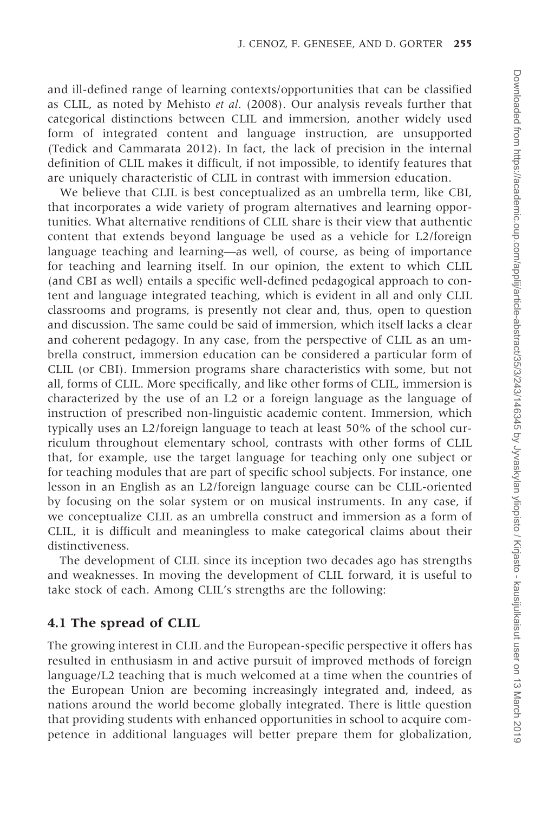and ill-defined range of learning contexts/opportunities that can be classified as CLIL, as noted by [Mehisto](#page-18-0) et al[. \(2008\).](#page-18-0) Our analysis reveals further that categorical distinctions between CLIL and immersion, another widely used form of integrated content and language instruction, are unsupported ([Tedick and Cammarata 2012](#page-19-0)). In fact, the lack of precision in the internal definition of CLIL makes it difficult, if not impossible, to identify features that are uniquely characteristic of CLIL in contrast with immersion education.

We believe that CLIL is best conceptualized as an umbrella term, like CBI, that incorporates a wide variety of program alternatives and learning opportunities. What alternative renditions of CLIL share is their view that authentic content that extends beyond language be used as a vehicle for L2/foreign language teaching and learning—as well, of course, as being of importance for teaching and learning itself. In our opinion, the extent to which CLIL (and CBI as well) entails a specific well-defined pedagogical approach to content and language integrated teaching, which is evident in all and only CLIL classrooms and programs, is presently not clear and, thus, open to question and discussion. The same could be said of immersion, which itself lacks a clear and coherent pedagogy. In any case, from the perspective of CLIL as an umbrella construct, immersion education can be considered a particular form of CLIL (or CBI). Immersion programs share characteristics with some, but not all, forms of CLIL. More specifically, and like other forms of CLIL, immersion is characterized by the use of an L2 or a foreign language as the language of instruction of prescribed non-linguistic academic content. Immersion, which typically uses an L2/foreign language to teach at least 50% of the school curriculum throughout elementary school, contrasts with other forms of CLIL that, for example, use the target language for teaching only one subject or for teaching modules that are part of specific school subjects. For instance, one lesson in an English as an L2/foreign language course can be CLIL-oriented by focusing on the solar system or on musical instruments. In any case, if we conceptualize CLIL as an umbrella construct and immersion as a form of CLIL, it is difficult and meaningless to make categorical claims about their distinctiveness.

The development of CLIL since its inception two decades ago has strengths and weaknesses. In moving the development of CLIL forward, it is useful to take stock of each. Among CLIL's strengths are the following:

#### 4.1 The spread of CLIL

The growing interest in CLIL and the European-specific perspective it offers has resulted in enthusiasm in and active pursuit of improved methods of foreign language/L2 teaching that is much welcomed at a time when the countries of the European Union are becoming increasingly integrated and, indeed, as nations around the world become globally integrated. There is little question that providing students with enhanced opportunities in school to acquire competence in additional languages will better prepare them for globalization,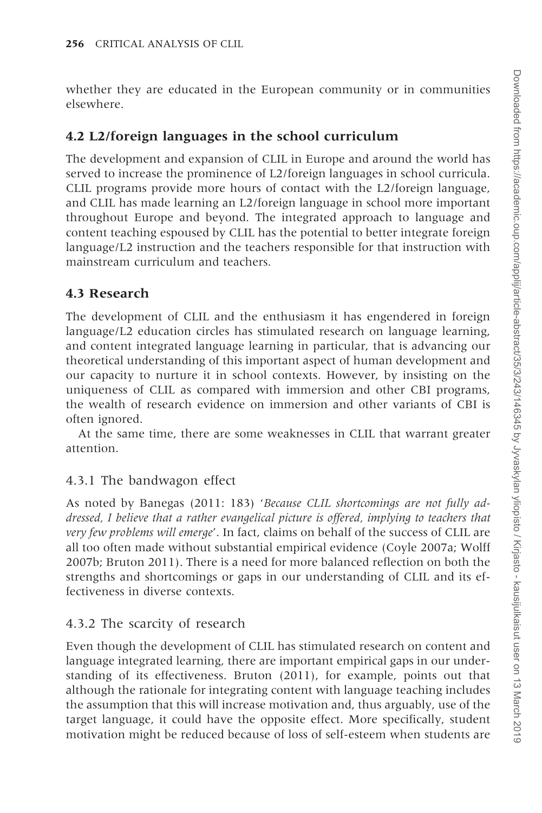whether they are educated in the European community or in communities elsewhere.

#### 4.2 L2/foreign languages in the school curriculum

The development and expansion of CLIL in Europe and around the world has served to increase the prominence of L2/foreign languages in school curricula. CLIL programs provide more hours of contact with the L2/foreign language, and CLIL has made learning an L2/foreign language in school more important throughout Europe and beyond. The integrated approach to language and content teaching espoused by CLIL has the potential to better integrate foreign language/L2 instruction and the teachers responsible for that instruction with mainstream curriculum and teachers.

#### 4.3 Research

The development of CLIL and the enthusiasm it has engendered in foreign language/L2 education circles has stimulated research on language learning, and content integrated language learning in particular, that is advancing our theoretical understanding of this important aspect of human development and our capacity to nurture it in school contexts. However, by insisting on the uniqueness of CLIL as compared with immersion and other CBI programs, the wealth of research evidence on immersion and other variants of CBI is often ignored.

At the same time, there are some weaknesses in CLIL that warrant greater attention.

#### 4.3.1 The bandwagon effect

As noted by Banegas ([2011:](#page-16-0) 183) 'Because CLIL shortcomings are not fully addressed, I believe that a rather evangelical picture is offered, implying to teachers that very few problems will emerge'. In fact, claims on behalf of the success of CLIL are all too often made without substantial empirical evidence [\(Coyle 2007a](#page-17-0); [Wolff](#page-19-0) [2007b](#page-19-0); [Bruton 2011\)](#page-17-0). There is a need for more balanced reflection on both the strengths and shortcomings or gaps in our understanding of CLIL and its effectiveness in diverse contexts.

#### 4.3.2 The scarcity of research

Even though the development of CLIL has stimulated research on content and language integrated learning, there are important empirical gaps in our understanding of its effectiveness. [Bruton \(2011\),](#page-17-0) for example, points out that although the rationale for integrating content with language teaching includes the assumption that this will increase motivation and, thus arguably, use of the target language, it could have the opposite effect. More specifically, student motivation might be reduced because of loss of self-esteem when students are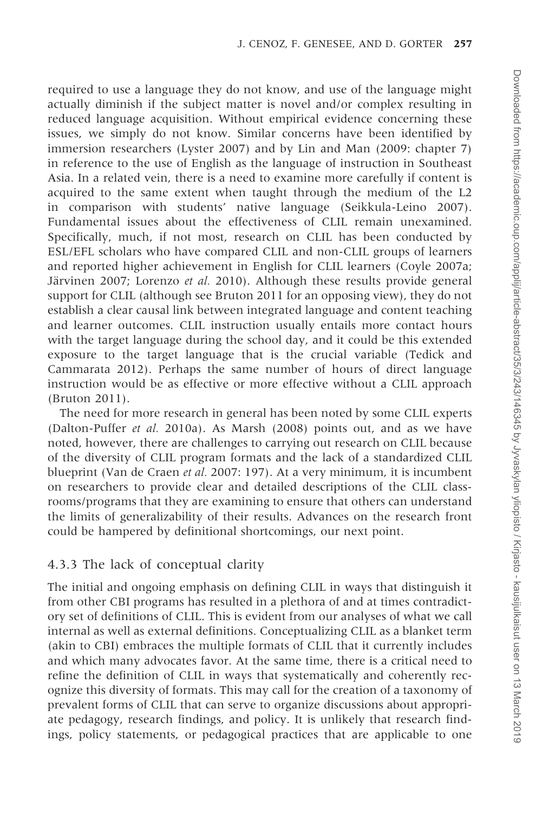required to use a language they do not know, and use of the language might actually diminish if the subject matter is novel and/or complex resulting in reduced language acquisition. Without empirical evidence concerning these issues, we simply do not know. Similar concerns have been identified by immersion researchers ([Lyster 2007](#page-18-0)) and by Lin and Man [\(2009](#page-18-0): chapter 7) in reference to the use of English as the language of instruction in Southeast Asia. In a related vein, there is a need to examine more carefully if content is acquired to the same extent when taught through the medium of the L2 in comparison with students' native language ([Seikkula-Leino 2007\)](#page-19-0). Fundamental issues about the effectiveness of CLIL remain unexamined. Specifically, much, if not most, research on CLIL has been conducted by ESL/EFL scholars who have compared CLIL and non-CLIL groups of learners and reported higher achievement in English for CLIL learners ([Coyle 2007a;](#page-17-0) Järvinen 2007; Lorenzo et al. 2010). Although these results provide general support for CLIL (although see [Bruton 2011](#page-17-0) for an opposing view), they do not establish a clear causal link between integrated language and content teaching and learner outcomes. CLIL instruction usually entails more contact hours with the target language during the school day, and it could be this extended exposure to the target language that is the crucial variable [\(Tedick and](#page-19-0) [Cammarata 2012](#page-19-0)). Perhaps the same number of hours of direct language instruction would be as effective or more effective without a CLIL approach ([Bruton 2011\)](#page-17-0).

The need for more research in general has been noted by some CLIL experts ([Dalton-Puffer](#page-17-0) et al. 2010a). As [Marsh \(2008\)](#page-18-0) points out, and as we have noted, however, there are challenges to carrying out research on CLIL because of the diversity of CLIL program formats and the lack of a standardized CLIL blueprint [\(Van de Craen](#page-19-0) et al. 2007: 197). At a very minimum, it is incumbent on researchers to provide clear and detailed descriptions of the CLIL classrooms/programs that they are examining to ensure that others can understand the limits of generalizability of their results. Advances on the research front could be hampered by definitional shortcomings, our next point.

#### 4.3.3 The lack of conceptual clarity

The initial and ongoing emphasis on defining CLIL in ways that distinguish it from other CBI programs has resulted in a plethora of and at times contradictory set of definitions of CLIL. This is evident from our analyses of what we call internal as well as external definitions. Conceptualizing CLIL as a blanket term (akin to CBI) embraces the multiple formats of CLIL that it currently includes and which many advocates favor. At the same time, there is a critical need to refine the definition of CLIL in ways that systematically and coherently recognize this diversity of formats. This may call for the creation of a taxonomy of prevalent forms of CLIL that can serve to organize discussions about appropriate pedagogy, research findings, and policy. It is unlikely that research findings, policy statements, or pedagogical practices that are applicable to one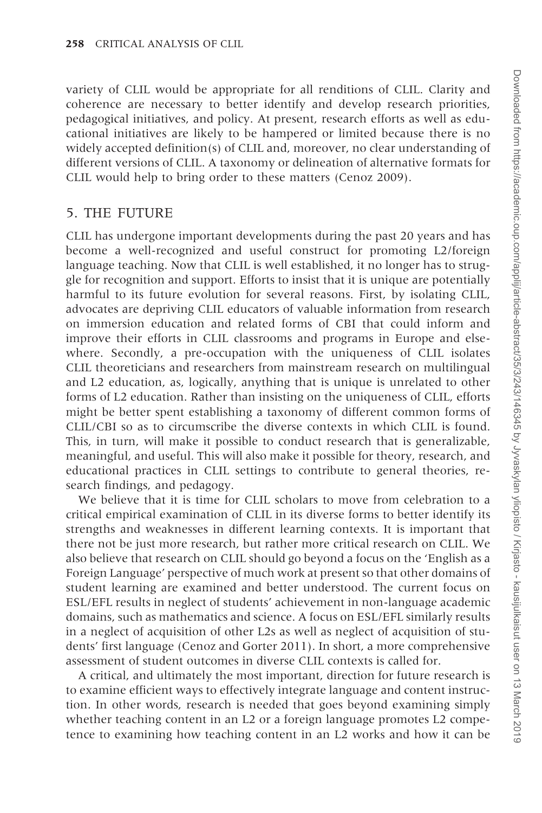variety of CLIL would be appropriate for all renditions of CLIL. Clarity and coherence are necessary to better identify and develop research priorities, pedagogical initiatives, and policy. At present, research efforts as well as educational initiatives are likely to be hampered or limited because there is no widely accepted definition(s) of CLIL and, moreover, no clear understanding of different versions of CLIL. A taxonomy or delineation of alternative formats for CLIL would help to bring order to these matters ([Cenoz 2009\)](#page-17-0).

### 5. THE FUTURE

CLIL has undergone important developments during the past 20 years and has become a well-recognized and useful construct for promoting L2/foreign language teaching. Now that CLIL is well established, it no longer has to struggle for recognition and support. Efforts to insist that it is unique are potentially harmful to its future evolution for several reasons. First, by isolating CLIL, advocates are depriving CLIL educators of valuable information from research on immersion education and related forms of CBI that could inform and improve their efforts in CLIL classrooms and programs in Europe and elsewhere. Secondly, a pre-occupation with the uniqueness of CLIL isolates CLIL theoreticians and researchers from mainstream research on multilingual and L2 education, as, logically, anything that is unique is unrelated to other forms of L2 education. Rather than insisting on the uniqueness of CLIL, efforts might be better spent establishing a taxonomy of different common forms of CLIL/CBI so as to circumscribe the diverse contexts in which CLIL is found. This, in turn, will make it possible to conduct research that is generalizable, meaningful, and useful. This will also make it possible for theory, research, and educational practices in CLIL settings to contribute to general theories, research findings, and pedagogy.

We believe that it is time for CLIL scholars to move from celebration to a critical empirical examination of CLIL in its diverse forms to better identify its strengths and weaknesses in different learning contexts. It is important that there not be just more research, but rather more critical research on CLIL. We also believe that research on CLIL should go beyond a focus on the 'English as a Foreign Language' perspective of much work at present so that other domains of student learning are examined and better understood. The current focus on ESL/EFL results in neglect of students' achievement in non-language academic domains, such as mathematics and science. A focus on ESL/EFL similarly results in a neglect of acquisition of other L2s as well as neglect of acquisition of students' first language ([Cenoz and Gorter 2011](#page-17-0)). In short, a more comprehensive assessment of student outcomes in diverse CLIL contexts is called for.

A critical, and ultimately the most important, direction for future research is to examine efficient ways to effectively integrate language and content instruction. In other words, research is needed that goes beyond examining simply whether teaching content in an L2 or a foreign language promotes L2 competence to examining how teaching content in an L2 works and how it can be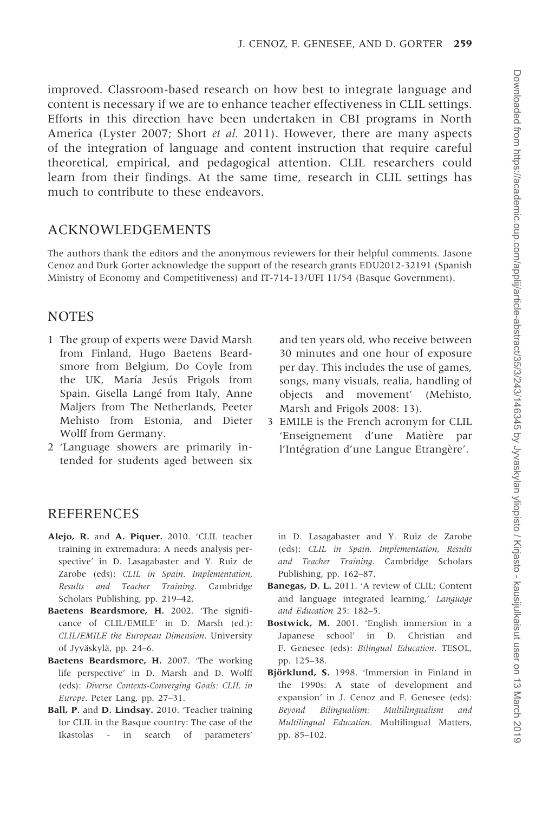<span id="page-16-0"></span>improved. Classroom-based research on how best to integrate language and content is necessary if we are to enhance teacher effectiveness in CLIL settings. Efforts in this direction have been undertaken in CBI programs in North America [\(Lyster 2007](#page-18-0); [Short](#page-19-0) et al. 2011). However, there are many aspects of the integration of language and content instruction that require careful theoretical, empirical, and pedagogical attention. CLIL researchers could learn from their findings. At the same time, research in CLIL settings has much to contribute to these endeavors.

#### ACKNOWLEDGEMENTS

The authors thank the editors and the anonymous reviewers for their helpful comments. Jasone Cenoz and Durk Gorter acknowledge the support of the research grants EDU2012-32191 (Spanish Ministry of Economy and Competitiveness) and IT-714-13/UFI 11/54 (Basque Government).

#### **NOTES**

- 1 The group of experts were David Marsh from Finland, Hugo Baetens Beardsmore from Belgium, Do Coyle from the UK, María Jesús Frigols from Spain, Gisella Langé from Italy, Anne Maljers from The Netherlands, Peeter Mehisto from Estonia, and Dieter Wolff from Germany.
- 2 'Language showers are primarily intended for students aged between six

and ten years old, who receive between 30 minutes and one hour of exposure per day. This includes the use of games, songs, many visuals, realia, handling of objects and movement' ([Mehisto,](#page-18-0) [Marsh and Frigols 2008:](#page-18-0) 13).

3 EMILE is the French acronym for CLIL 'Enseignement d'une Matière par l'Intégration d'une Langue Etrangère'.

#### REFERENCES

- Alejo, R. and A. Piquer. 2010. 'CLIL teacher training in extremadura: A needs analysis perspective' in D. Lasagabaster and Y. Ruiz de Zarobe (eds): CLIL in Spain. Implementation, Results and Teacher Training. Cambridge Scholars Publishing, pp. 219–42.
- Baetens Beardsmore, H. 2002. 'The significance of CLIL/EMILE' in D. Marsh (ed.): CLIL/EMILE the European Dimension. University of Jyväskylä, pp. 24–6.
- Baetens Beardsmore, H. 2007. 'The working life perspective' in D. Marsh and D. Wolff (eds): Diverse Contexts-Converging Goals: CLIL in Europe. Peter Lang, pp. 27–31.
- Ball, P. and D. Lindsay. 2010. 'Teacher training for CLIL in the Basque country: The case of the Ikastolas - in search of parameters'

in D. Lasagabaster and Y. Ruiz de Zarobe (eds): CLIL in Spain. Implementation, Results and Teacher Training. Cambridge Scholars Publishing, pp. 162–87.

- Banegas, D. L. 2011. 'A review of CLIL: Content and language integrated learning,' Language and Education 25: 182–5.
- Bostwick, M. 2001. 'English immersion in a Japanese school' in D. Christian and F. Genesee (eds): Bilingual Education. TESOL, pp. 125–38.
- Björklund, S. 1998. 'Immersion in Finland in the 1990s: A state of development and expansion' in J. Cenoz and F. Genesee (eds): Beyond Bilingualism: Multilingualism and Multilingual Education. Multilingual Matters, pp. 85–102.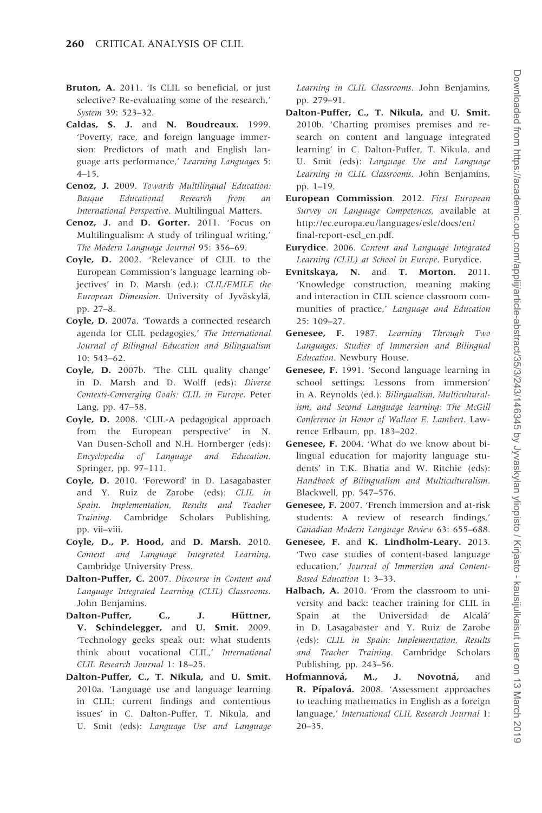- <span id="page-17-0"></span>Bruton, A. 2011. 'Is CLIL so beneficial, or just selective? Re-evaluating some of the research,' System 39: 523–32.
- Caldas, S. J. and N. Boudreaux. 1999. 'Poverty, race, and foreign language immersion: Predictors of math and English language arts performance,' Learning Languages 5: 4–15.
- Cenoz, J. 2009. Towards Multilingual Education: Basque Educational Research from an International Perspective. Multilingual Matters.
- Cenoz, J. and D. Gorter. 2011. 'Focus on Multilingualism: A study of trilingual writing,' The Modern Language Journal 95: 356–69.
- Coyle, D. 2002. 'Relevance of CLIL to the European Commission's language learning objectives' in D. Marsh (ed.): CLIL/EMILE the European Dimension. University of Jyväskylä, pp. 27–8.
- Coyle, D. 2007a. 'Towards a connected research agenda for CLIL pedagogies,' The International Journal of Bilingual Education and Bilingualism 10: 543–62.
- Coyle, D. 2007b. 'The CLIL quality change' in D. Marsh and D. Wolff (eds): Diverse Contexts-Converging Goals: CLIL in Europe. Peter Lang, pp. 47–58.
- Coyle, D. 2008. 'CLIL-A pedagogical approach from the European perspective' in N. Van Dusen-Scholl and N.H. Hornberger (eds): Encyclopedia of Language and Education. Springer, pp. 97–111.
- Coyle, D. 2010. 'Foreword' in D. Lasagabaster and Y. Ruiz de Zarobe (eds): CLIL in Spain. Implementation, Results and Teacher Training. Cambridge Scholars Publishing, pp. vii–viii.
- Coyle, D., P. Hood, and D. Marsh. 2010. Content and Language Integrated Learning. Cambridge University Press.
- Dalton-Puffer, C. 2007. Discourse in Content and Language Integrated Learning (CLIL) Classrooms. John Benjamins.
- Dalton-Puffer, C., J. Hüttner, V. Schindelegger, and U. Smit. 2009. 'Technology geeks speak out: what students think about vocational CLIL,' International CLIL Research Journal 1: 18–25.
- Dalton-Puffer, C., T. Nikula, and U. Smit. 2010a. 'Language use and language learning in CLIL: current findings and contentious issues' in C. Dalton-Puffer, T. Nikula, and U. Smit (eds): Language Use and Language

Learning in CLIL Classrooms. John Benjamins, pp. 279–91.

- Dalton-Puffer, C., T. Nikula, and U. Smit. 2010b. 'Charting promises premises and research on content and language integrated learning' in C. Dalton-Puffer, T. Nikula, and U. Smit (eds): Language Use and Language Learning in CLIL Classrooms. John Benjamins, pp. 1–19.
- European Commission. 2012. First European Survey on Language Competences, available at [http://ec.europa.eu/languages/eslc/docs/en/](http://ec.europa.eu/languages/eslc/docs/en/final-report-escl_en.pdf) [final-report-escl\\_en.pdf.](http://ec.europa.eu/languages/eslc/docs/en/final-report-escl_en.pdf)
- Eurydice. 2006. Content and Language Integrated Learning (CLIL) at School in Europe. Eurydice.
- Evnitskaya, N. and T. Morton. 2011. 'Knowledge construction, meaning making and interaction in CLIL science classroom communities of practice,' Language and Education 25: 109–27.
- Genesee, F. 1987. Learning Through Two Languages: Studies of Immersion and Bilingual Education. Newbury House.
- Genesee, F. 1991. 'Second language learning in school settings: Lessons from immersion' in A. Reynolds (ed.): Bilingualism, Multiculturalism, and Second Language learning: The McGill Conference in Honor of Wallace E. Lambert. Lawrence Erlbaum, pp. 183–202.
- Genesee, F. 2004. 'What do we know about bilingual education for majority language students' in T.K. Bhatia and W. Ritchie (eds): Handbook of Bilingualism and Multiculturalism. Blackwell, pp. 547–576.
- Genesee, F. 2007. 'French immersion and at-risk students: A review of research findings,' Canadian Modern Language Review 63: 655–688.
- Genesee, F. and K. Lindholm-Leary. 2013. 'Two case studies of content-based language education,' Journal of Immersion and Content-Based Education 1: 3–33.
- Halbach, A. 2010. 'From the classroom to university and back: teacher training for CLIL in Spain at the Universidad de Alcalá' in D. Lasagabaster and Y. Ruiz de Zarobe (eds): CLIL in Spain: Implementation, Results and Teacher Training. Cambridge Scholars Publishing, pp. 243–56.
- Hofmannová, M., J. Novotná, and R. Pípalová. 2008. 'Assessment approaches to teaching mathematics in English as a foreign language,' International CLIL Research Journal 1:  $20 - 35$ .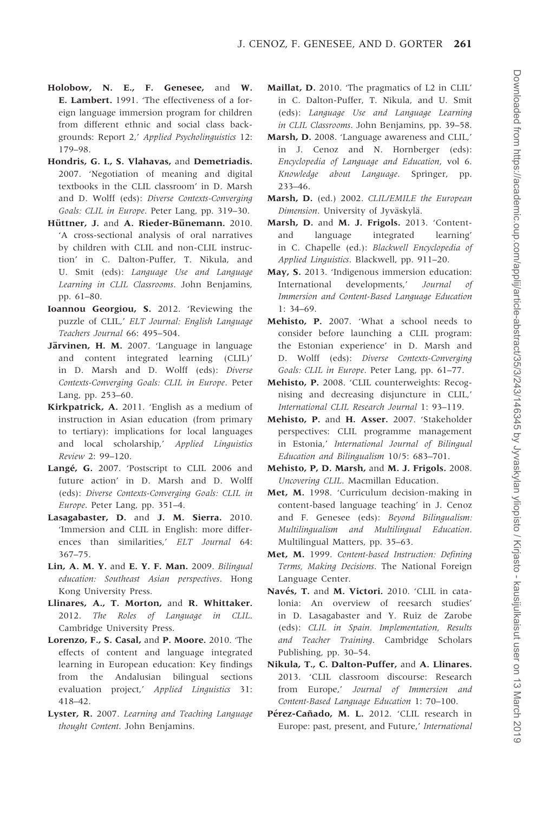- <span id="page-18-0"></span>Holobow, N. E., F. Genesee, and W. E. Lambert. 1991. 'The effectiveness of a foreign language immersion program for children from different ethnic and social class backgrounds: Report 2,' Applied Psycholinguistics 12: 179–98.
- Hondris, G. I., S. Vlahavas, and Demetriadis. 2007. 'Negotiation of meaning and digital textbooks in the CLIL classroom' in D. Marsh and D. Wolff (eds): Diverse Contexts-Converging Goals: CLIL in Europe. Peter Lang, pp. 319–30.
- Hüttner, J. and A. Rieder-Bünemann. 2010. 'A cross-sectional analysis of oral narratives by children with CLIL and non-CLIL instruction' in C. Dalton-Puffer, T. Nikula, and U. Smit (eds): Language Use and Language Learning in CLIL Classrooms. John Benjamins, pp. 61–80.
- Ioannou Georgiou, S. 2012. 'Reviewing the puzzle of CLIL,' ELT Journal: English Language Teachers Journal 66: 495–504.
- Järvinen, H. M. 2007. 'Language in language and content integrated learning (CLIL)' in D. Marsh and D. Wolff (eds): Diverse Contexts-Converging Goals: CLIL in Europe. Peter Lang, pp. 253–60.
- Kirkpatrick, A. 2011. 'English as a medium of instruction in Asian education (from primary to tertiary): implications for local languages and local scholarship,' Applied Linguistics Review 2: 99–120.
- Langé, G. 2007. 'Postscript to CLIL 2006 and future action' in D. Marsh and D. Wolff (eds): Diverse Contexts-Converging Goals: CLIL in Europe. Peter Lang, pp. 351–4.
- Lasagabaster, D. and J. M. Sierra. 2010. 'Immersion and CLIL in English: more differences than similarities,' ELT Journal 64: 367–75.
- Lin, A. M. Y. and E. Y. F. Man. 2009. Bilingual education: Southeast Asian perspectives. Hong Kong University Press.
- Llinares, A., T. Morton, and R. Whittaker. 2012. The Roles of Language in CLIL. Cambridge University Press.
- Lorenzo, F., S. Casal, and P. Moore. 2010. 'The effects of content and language integrated learning in European education: Key findings from the Andalusian bilingual sections evaluation project,' Applied Linguistics 31: 418–42.
- Lyster, R. 2007. Learning and Teaching Language thought Content. John Benjamins.
- Maillat, D. 2010. 'The pragmatics of L2 in CLIL' in C. Dalton-Puffer, T. Nikula, and U. Smit (eds): Language Use and Language Learning in CLIL Classrooms. John Benjamins, pp. 39–58.
- Marsh, D. 2008. 'Language awareness and CLIL,' in J. Cenoz and N. Hornberger (eds): Encyclopedia of Language and Education, vol 6. Knowledge about Language. Springer, pp. 233–46.
- Marsh, D. (ed.) 2002. CLIL/EMILE the European Dimension. University of Jyväskylä.
- Marsh, D. and M. J. Frigols. 2013. 'Contentand language integrated learning' in C. Chapelle (ed.): Blackwell Encyclopedia of Applied Linguistics. Blackwell, pp. 911–20.
- May, S. 2013. 'Indigenous immersion education: International developments,' Journal of Immersion and Content-Based Language Education 1: 34–69.
- Mehisto, P. 2007. 'What a school needs to consider before launching a CLIL program: the Estonian experience' in D. Marsh and D. Wolff (eds): Diverse Contexts-Converging Goals: CLIL in Europe. Peter Lang, pp. 61–77.
- Mehisto, P. 2008. 'CLIL counterweights: Recognising and decreasing disjuncture in CLIL,' International CLIL Research Journal 1: 93–119.
- Mehisto, P. and H. Asser. 2007. 'Stakeholder perspectives: CLIL programme management in Estonia,' International Journal of Bilingual Education and Bilingualism 10/5: 683–701.
- Mehisto, P, D. Marsh, and M. J. Frigols. 2008. Uncovering CLIL. Macmillan Education.
- Met, M. 1998. 'Curriculum decision-making in content-based language teaching' in J. Cenoz and F. Genesee (eds): Beyond Bilingualism: Multilingualism and Multilingual Education. Multilingual Matters, pp. 35–63.
- Met, M. 1999. Content-based Instruction: Defining Terms, Making Decisions. The National Foreign Language Center.
- Navés, T. and M. Victori. 2010. 'CLIL in catalonia: An overview of reesarch studies' in D. Lasagabaster and Y. Ruiz de Zarobe (eds): CLIL in Spain. Implementation, Results and Teacher Training. Cambridge Scholars Publishing, pp. 30–54.
- Nikula, T., C. Dalton-Puffer, and A. Llinares. 2013. 'CLIL classroom discourse: Research from Europe,' Journal of Immersion and Content-Based Language Education 1: 70–100.
- Pérez-Cañado, M. L. 2012. 'CLIL research in Europe: past, present, and Future,' International